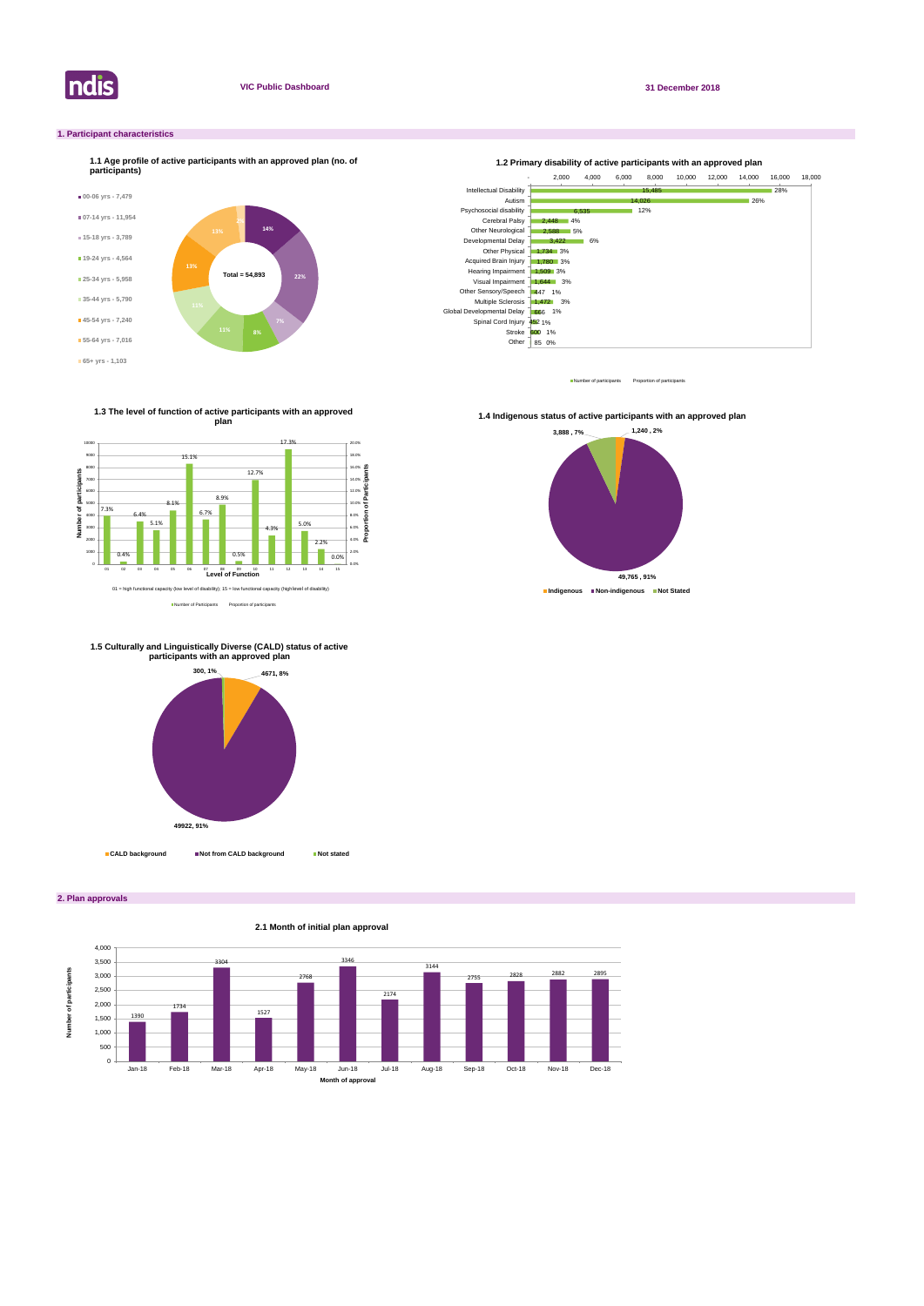

**2. Plan approvals**

### **1. Participant characteristics**



Number of participants Proportion of participant



Number of Participants Proportion of participants

**1.3 The level of function of active participants with an approved plan**



**1.4 Indigenous status of active participants with an approved plan** 





**1.5 Culturally and Linguistically Diverse (CALD) status of active participants with an approved plan** 

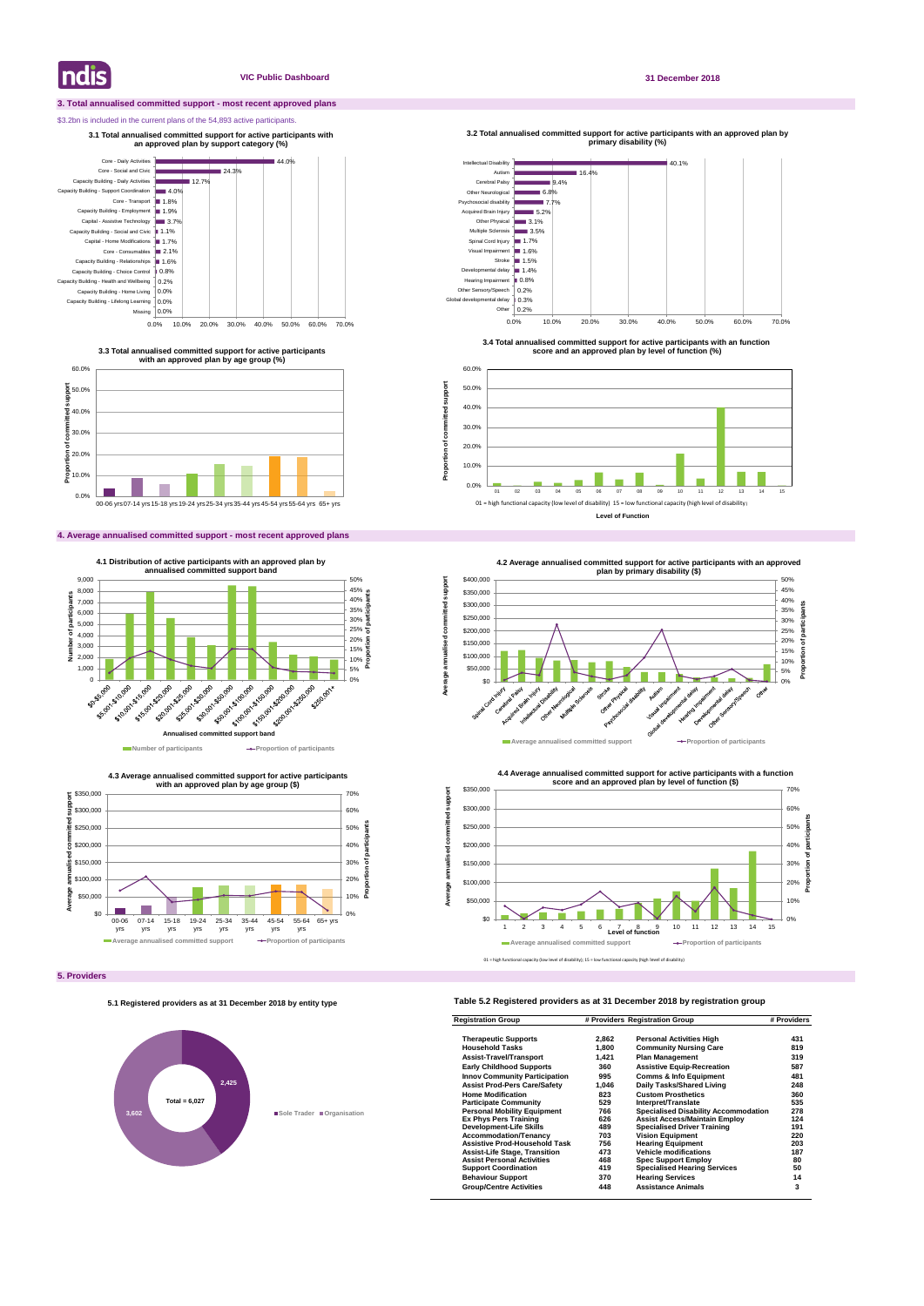### **3. Total annualised committed support - most recent approved plans**

### \$3.2bn is included in the current plans of the 54,893 active participants.

### **4. Average annualised committed support - most recent approved plans**

### **Table 5.2 Registered providers as at 31 December 2018 by registration group**

| <b>Registration Group</b>            | # Providers Registration Group |                                             | # Providers |
|--------------------------------------|--------------------------------|---------------------------------------------|-------------|
| <b>Therapeutic Supports</b>          | 2,862                          | <b>Personal Activities High</b>             | 431         |
| <b>Household Tasks</b>               | 1,800                          | <b>Community Nursing Care</b>               | 819         |
| <b>Assist-Travel/Transport</b>       | 1,421                          | <b>Plan Management</b>                      | 319         |
| <b>Early Childhood Supports</b>      | 360                            | <b>Assistive Equip-Recreation</b>           | 587         |
| <b>Innov Community Participation</b> | 995                            | <b>Comms &amp; Info Equipment</b>           | 481         |
| <b>Assist Prod-Pers Care/Safety</b>  | 1,046                          | Daily Tasks/Shared Living                   | 248         |
| <b>Home Modification</b>             | 823                            | <b>Custom Prosthetics</b>                   | 360         |
| <b>Participate Community</b>         | 529                            | Interpret/Translate                         | 535         |
| <b>Personal Mobility Equipment</b>   | 766                            | <b>Specialised Disability Accommodation</b> | 278         |
| <b>Ex Phys Pers Training</b>         | 626                            | <b>Assist Access/Maintain Employ</b>        | 124         |
| <b>Development-Life Skills</b>       | 489                            | <b>Specialised Driver Training</b>          | 191         |
| <b>Accommodation/Tenancv</b>         | 703                            | <b>Vision Equipment</b>                     | 220         |
| <b>Assistive Prod-Household Task</b> | 756                            | <b>Hearing Equipment</b>                    | 203         |
| <b>Assist-Life Stage, Transition</b> | 473                            | <b>Vehicle modifications</b>                | 187         |
| <b>Assist Personal Activities</b>    | 468                            | <b>Spec Support Employ</b>                  | 80          |
| <b>Support Coordination</b>          | 419                            | <b>Specialised Hearing Services</b>         | 50          |
| <b>Behaviour Support</b>             | 370                            | <b>Hearing Services</b>                     | 14          |
| <b>Group/Centre Activities</b>       | 448                            | <b>Assistance Animals</b>                   | 3           |

**Indis** 

### **VIC Public Dashboard 31 December 2018**





**3.3 Total annualised committed support for active participants with an approved plan by age group (%)**

**3.1 Total annualised committed support for active participants with an approved plan by support category (%)** 



**4.3 Average annualised committed support for active participants** 



**3.4 Total annualised committed support for active participants with an function score and an approved plan by level of function (%)**

**3.2 Total annualised committed support for active participants with an approved plan by primary disability (%)** 

**Proportion of committed support**

Proportion of committed

support



### **5.1 Registered providers as at 31 December 2018 by entity type**

# **2,425 3,602 Sole Trader Organisation Total = 6,027**

01 = high functional capacity (low level of disability); 15 = low functional capacity (high level of disability)

**Level of Function**





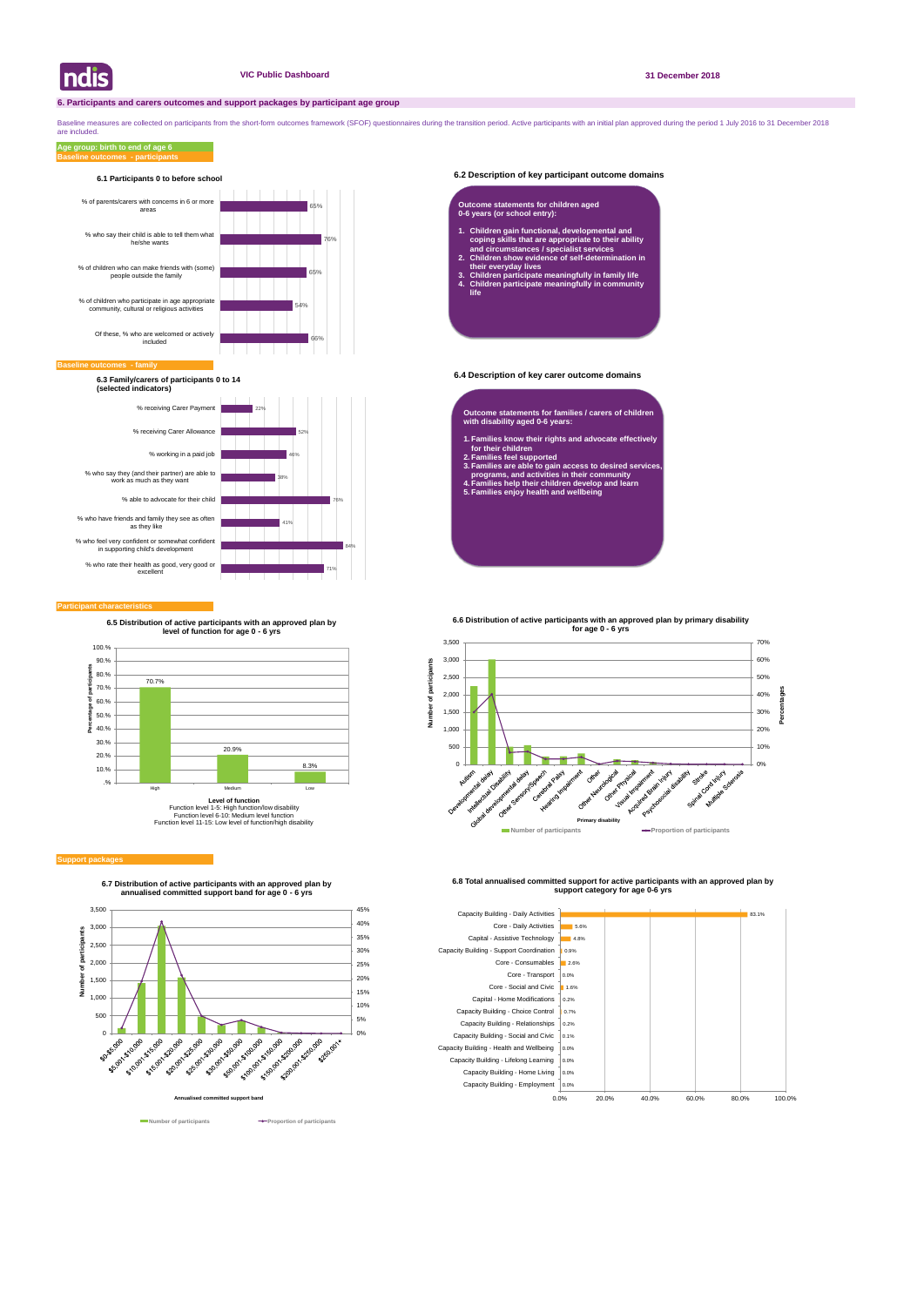### **6.2 Description of key participant outcome domains**

### **6.4 Description of key carer outcome domains**

### **Participant characteristics**

Baseline measures are collected on participants from the short-form outcomes framework (SFOF) questionnaires during the transition period. Active participants with an initial plan approved during the period 1 July 2016 to are included.

### **Baseline outcomes - participants Age group: birth to end of age 6**





**6.7 Distribution of active participants with an approved plan by annualised committed support band for age 0 - 6 yrs**





**6.8 Total annualised committed support for active participants with an approved plan by support category for age 0-6 yrs** 



### **Baseline of**



## **6.1 Participants 0 to before school**

**6.3 Family/carers of participants 0 to 14 (selected indicators)**

- **Outcome statements for families / carers of children with disability aged 0-6 years:**
- **1. Families know their rights and advocate effectively for their children**
- **2. Families feel supported**
- **3. Families are able to gain access to desired services, programs, and activities in their community**
- **4. Families help their children develop and learn 5. Families enjoy health and wellbeing**

### **Outcome statements for children aged 0-6 years (or school entry):**

- **1. Children gain functional, developmental and coping skills that are appropriate to their ability and circumstances / specialist services**
- **2. Children show evidence of self-determination in their everyday lives**
- **3. Children participate meaningfully in family life 4. Children participate meaningfully in community life**



### **Support package**

**6.5 Distribution of active participants with an approved plan by level of function for age 0 - 6 yrs**



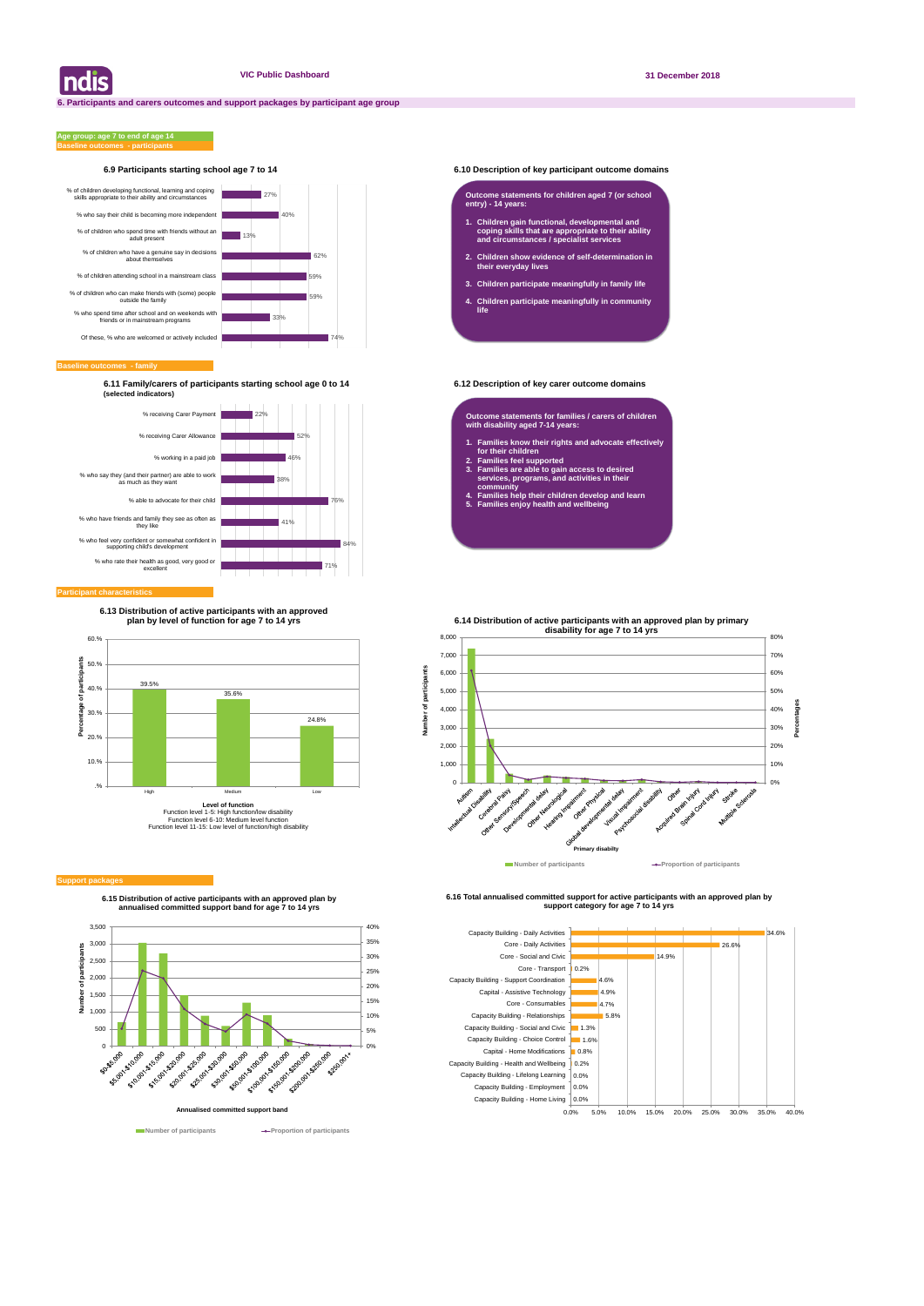### **6.9 Participants starting school age 7 to 14 6.10 Description of key participant outcome domains**

**Baseline outcomes - family**

### **Baseline outcomes - participants Age group: age 7 to end of age 14**

**6.11 Family/carers of participants starting school age 0 to 14 6.12 Description of key carer outcome domains (selected indicators)**

| ndis



**6.15 Distribution of active participants with an approved plan by annualised committed support band for age 7 to 14 yrs**



**Number of participants Aumber of participants** 

**6.16 Total annualised committed support for active participants with an approved plan by support category for age 7 to 14 yrs** 





### **Participant characteristic**

### **Outcome statements for children aged 7 (or school entry) - 14 years:**

- **1. Children gain functional, developmental and coping skills that are appropriate to their ability and circumstances / specialist services**
- **2. Children show evidence of self-determination in their everyday lives**
- **3. Children participate meaningfully in family life**
- **4. Children participate meaningfully in community life**

**Outcome statements for families / carers of children with disability aged 7-14 years:**

- **1. Families know their rights and advocate effectively for their children**
- **2. Families feel supported**
- **3. Families are able to gain access to desired services, programs, and activities in their community**
- **4. Families help their children develop and learn**
- **5. Families enjoy health and wellbeing**



### **Support packa**

**6.13 Distribution of active participants with an approved plan by level of function for age 7 to 14 yrs**

**Number of participants**

 $\mathbf{\tilde{o}}$ Number

ť particip **6.14 Distribution of active participants with an approved plan by primary** 

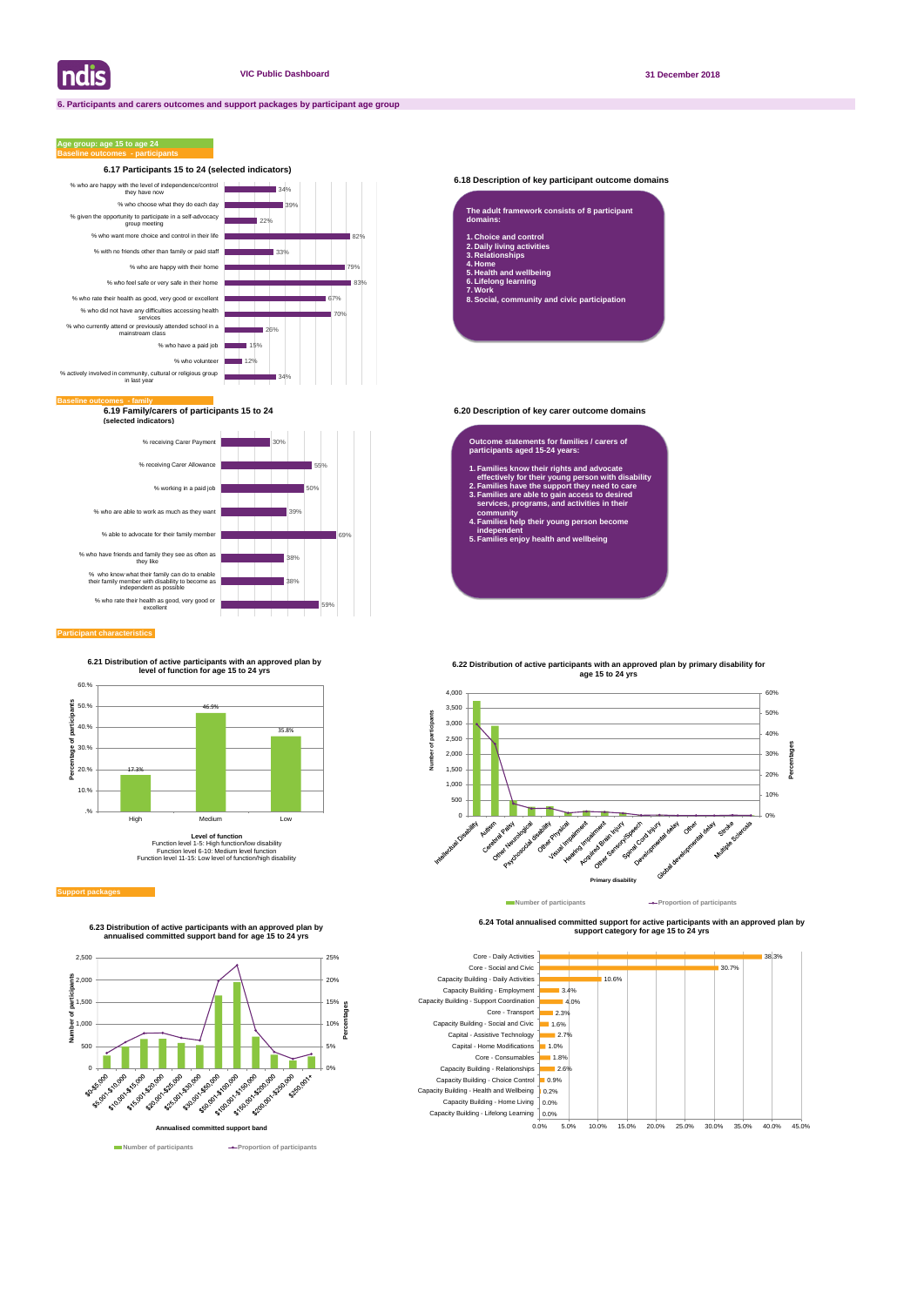

### **6.18 Description of key participant outcome domains**

**6.19 Family/carers of participants 15 to 24 6.20 Description of key carer outcome domains (selected indicators)**

### **Participant characteristics**

### **Age group: age 15 to age 24**





**6.24 Total annualised committed support for active participants with an approved plan by support category for age 15 to 24 yrs** 



| The adult framework consists of 8 participant<br>domains:               |
|-------------------------------------------------------------------------|
| 1. Choice and control<br>2. Daily living activities<br>3. Relationships |
| 4. Home<br>5. Health and wellbeing<br>And the late of the conducts.     |

**6. Lifelong learning 7. Work**

**8. Social, community and civic participation**



**Number of participants Proportion of participants** 

### **Outcome statements for families / carers of participants aged 15-24 years:**

- **1. Families know their rights and advocate effectively for their young person with disability**
- **2. Families have the support they need to care 3. Families are able to gain access to desired services, programs, and activities in their**
- **community 4. Families help their young person become independent**
- **5. Families enjoy health and wellbeing**





**6.23 Distribution of active participants with an approved plan by annualised committed support band for age 15 to 24 yrs**

**6.21 Distribution of active participants with an approved plan by level of function for age 15 to 24 yrs**



Function level 1-5: High function/low disability Function level 6-10: Medium level function Function level 11-15: Low level of function/high disability

### **Support packad**